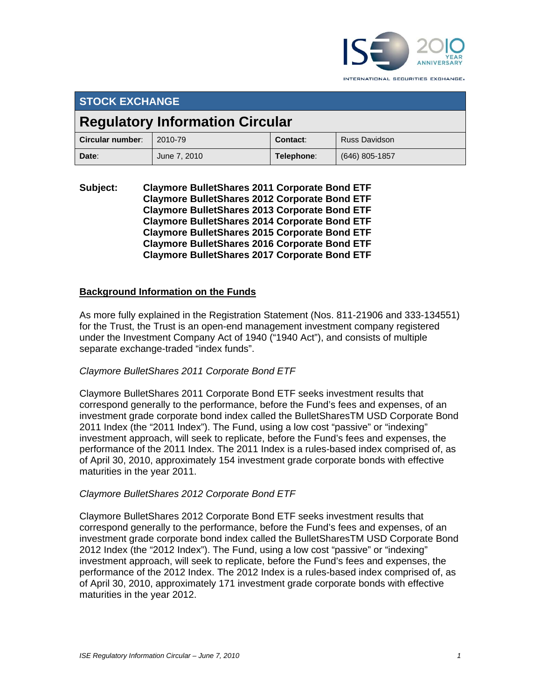

**STOCK EXCHANGE Regulatory Information Circular Circular number**: 2010-79 **Contact:** Russ Davidson **Date**:June 7, 2010 **Telephone**: (646) 805-1857

**Subject: Claymore BulletShares 2011 Corporate Bond ETF Claymore BulletShares 2012 Corporate Bond ETF Claymore BulletShares 2013 Corporate Bond ETF Claymore BulletShares 2014 Corporate Bond ETF Claymore BulletShares 2015 Corporate Bond ETF Claymore BulletShares 2016 Corporate Bond ETF Claymore BulletShares 2017 Corporate Bond ETF** 

## **Background Information on the Funds**

As more fully explained in the Registration Statement (Nos. 811-21906 and 333-134551) for the Trust, the Trust is an open-end management investment company registered under the Investment Company Act of 1940 ("1940 Act"), and consists of multiple separate exchange-traded "index funds".

### *Claymore BulletShares 2011 Corporate Bond ETF*

Claymore BulletShares 2011 Corporate Bond ETF seeks investment results that correspond generally to the performance, before the Fund's fees and expenses, of an investment grade corporate bond index called the BulletSharesTM USD Corporate Bond 2011 Index (the "2011 Index"). The Fund, using a low cost "passive" or "indexing" investment approach, will seek to replicate, before the Fund's fees and expenses, the performance of the 2011 Index. The 2011 Index is a rules-based index comprised of, as of April 30, 2010, approximately 154 investment grade corporate bonds with effective maturities in the year 2011.

### *Claymore BulletShares 2012 Corporate Bond ETF*

Claymore BulletShares 2012 Corporate Bond ETF seeks investment results that correspond generally to the performance, before the Fund's fees and expenses, of an investment grade corporate bond index called the BulletSharesTM USD Corporate Bond 2012 Index (the "2012 Index"). The Fund, using a low cost "passive" or "indexing" investment approach, will seek to replicate, before the Fund's fees and expenses, the performance of the 2012 Index. The 2012 Index is a rules-based index comprised of, as of April 30, 2010, approximately 171 investment grade corporate bonds with effective maturities in the year 2012.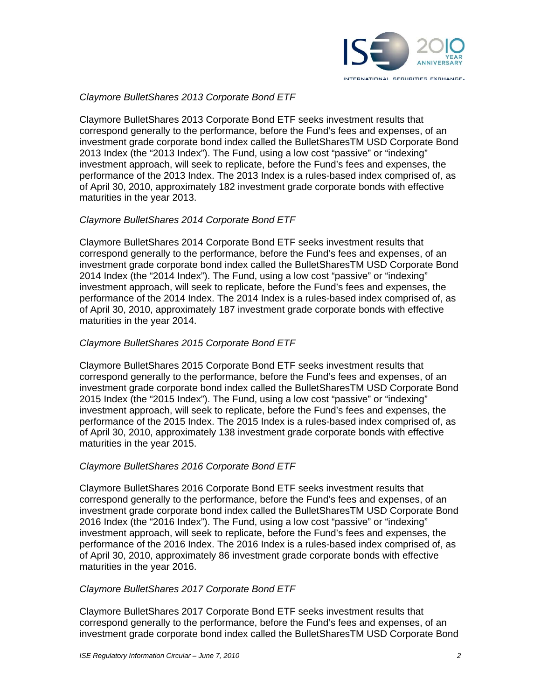

# *Claymore BulletShares 2013 Corporate Bond ETF*

Claymore BulletShares 2013 Corporate Bond ETF seeks investment results that correspond generally to the performance, before the Fund's fees and expenses, of an investment grade corporate bond index called the BulletSharesTM USD Corporate Bond 2013 Index (the "2013 Index"). The Fund, using a low cost "passive" or "indexing" investment approach, will seek to replicate, before the Fund's fees and expenses, the performance of the 2013 Index. The 2013 Index is a rules-based index comprised of, as of April 30, 2010, approximately 182 investment grade corporate bonds with effective maturities in the year 2013.

## *Claymore BulletShares 2014 Corporate Bond ETF*

Claymore BulletShares 2014 Corporate Bond ETF seeks investment results that correspond generally to the performance, before the Fund's fees and expenses, of an investment grade corporate bond index called the BulletSharesTM USD Corporate Bond 2014 Index (the "2014 Index"). The Fund, using a low cost "passive" or "indexing" investment approach, will seek to replicate, before the Fund's fees and expenses, the performance of the 2014 Index. The 2014 Index is a rules-based index comprised of, as of April 30, 2010, approximately 187 investment grade corporate bonds with effective maturities in the year 2014.

## *Claymore BulletShares 2015 Corporate Bond ETF*

Claymore BulletShares 2015 Corporate Bond ETF seeks investment results that correspond generally to the performance, before the Fund's fees and expenses, of an investment grade corporate bond index called the BulletSharesTM USD Corporate Bond 2015 Index (the "2015 Index"). The Fund, using a low cost "passive" or "indexing" investment approach, will seek to replicate, before the Fund's fees and expenses, the performance of the 2015 Index. The 2015 Index is a rules-based index comprised of, as of April 30, 2010, approximately 138 investment grade corporate bonds with effective maturities in the year 2015.

### *Claymore BulletShares 2016 Corporate Bond ETF*

Claymore BulletShares 2016 Corporate Bond ETF seeks investment results that correspond generally to the performance, before the Fund's fees and expenses, of an investment grade corporate bond index called the BulletSharesTM USD Corporate Bond 2016 Index (the "2016 Index"). The Fund, using a low cost "passive" or "indexing" investment approach, will seek to replicate, before the Fund's fees and expenses, the performance of the 2016 Index. The 2016 Index is a rules-based index comprised of, as of April 30, 2010, approximately 86 investment grade corporate bonds with effective maturities in the year 2016.

### *Claymore BulletShares 2017 Corporate Bond ETF*

Claymore BulletShares 2017 Corporate Bond ETF seeks investment results that correspond generally to the performance, before the Fund's fees and expenses, of an investment grade corporate bond index called the BulletSharesTM USD Corporate Bond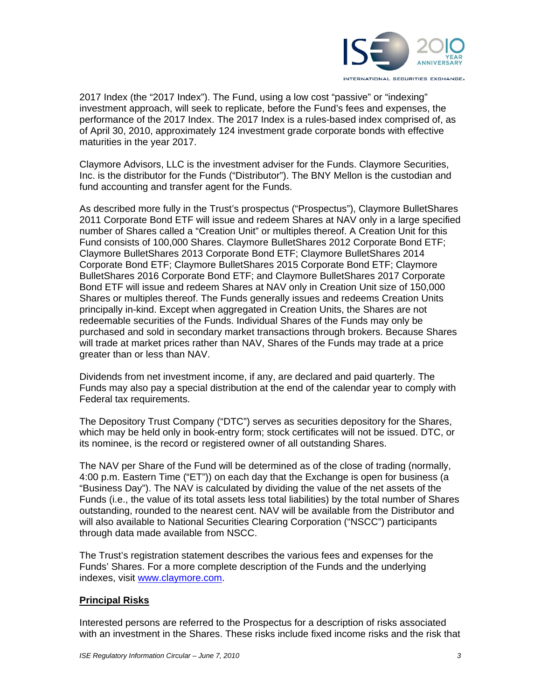

2017 Index (the "2017 Index"). The Fund, using a low cost "passive" or "indexing" investment approach, will seek to replicate, before the Fund's fees and expenses, the performance of the 2017 Index. The 2017 Index is a rules-based index comprised of, as of April 30, 2010, approximately 124 investment grade corporate bonds with effective maturities in the year 2017.

Claymore Advisors, LLC is the investment adviser for the Funds. Claymore Securities, Inc. is the distributor for the Funds ("Distributor"). The BNY Mellon is the custodian and fund accounting and transfer agent for the Funds.

As described more fully in the Trust's prospectus ("Prospectus"), Claymore BulletShares 2011 Corporate Bond ETF will issue and redeem Shares at NAV only in a large specified number of Shares called a "Creation Unit" or multiples thereof. A Creation Unit for this Fund consists of 100,000 Shares. Claymore BulletShares 2012 Corporate Bond ETF; Claymore BulletShares 2013 Corporate Bond ETF; Claymore BulletShares 2014 Corporate Bond ETF; Claymore BulletShares 2015 Corporate Bond ETF; Claymore BulletShares 2016 Corporate Bond ETF; and Claymore BulletShares 2017 Corporate Bond ETF will issue and redeem Shares at NAV only in Creation Unit size of 150,000 Shares or multiples thereof. The Funds generally issues and redeems Creation Units principally in-kind. Except when aggregated in Creation Units, the Shares are not redeemable securities of the Funds. Individual Shares of the Funds may only be purchased and sold in secondary market transactions through brokers. Because Shares will trade at market prices rather than NAV, Shares of the Funds may trade at a price greater than or less than NAV.

Dividends from net investment income, if any, are declared and paid quarterly. The Funds may also pay a special distribution at the end of the calendar year to comply with Federal tax requirements.

The Depository Trust Company ("DTC") serves as securities depository for the Shares, which may be held only in book-entry form; stock certificates will not be issued. DTC, or its nominee, is the record or registered owner of all outstanding Shares.

The NAV per Share of the Fund will be determined as of the close of trading (normally, 4:00 p.m. Eastern Time ("ET")) on each day that the Exchange is open for business (a "Business Day"). The NAV is calculated by dividing the value of the net assets of the Funds (i.e., the value of its total assets less total liabilities) by the total number of Shares outstanding, rounded to the nearest cent. NAV will be available from the Distributor and will also available to National Securities Clearing Corporation ("NSCC") participants through data made available from NSCC.

The Trust's registration statement describes the various fees and expenses for the Funds' Shares. For a more complete description of the Funds and the underlying indexes, visit www.claymore.com.

# **Principal Risks**

Interested persons are referred to the Prospectus for a description of risks associated with an investment in the Shares. These risks include fixed income risks and the risk that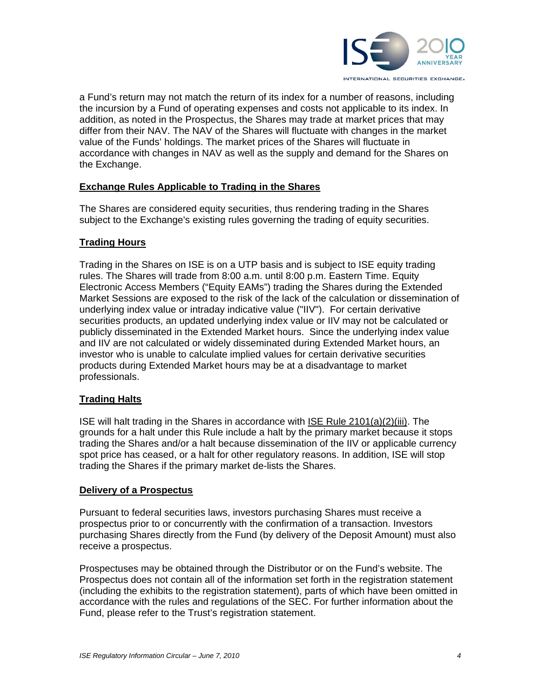

a Fund's return may not match the return of its index for a number of reasons, including the incursion by a Fund of operating expenses and costs not applicable to its index. In addition, as noted in the Prospectus, the Shares may trade at market prices that may differ from their NAV. The NAV of the Shares will fluctuate with changes in the market value of the Funds' holdings. The market prices of the Shares will fluctuate in accordance with changes in NAV as well as the supply and demand for the Shares on the Exchange.

## **Exchange Rules Applicable to Trading in the Shares**

The Shares are considered equity securities, thus rendering trading in the Shares subject to the Exchange's existing rules governing the trading of equity securities.

# **Trading Hours**

Trading in the Shares on ISE is on a UTP basis and is subject to ISE equity trading rules. The Shares will trade from 8:00 a.m. until 8:00 p.m. Eastern Time. Equity Electronic Access Members ("Equity EAMs") trading the Shares during the Extended Market Sessions are exposed to the risk of the lack of the calculation or dissemination of underlying index value or intraday indicative value ("IIV"). For certain derivative securities products, an updated underlying index value or IIV may not be calculated or publicly disseminated in the Extended Market hours. Since the underlying index value and IIV are not calculated or widely disseminated during Extended Market hours, an investor who is unable to calculate implied values for certain derivative securities products during Extended Market hours may be at a disadvantage to market professionals.

### **Trading Halts**

ISE will halt trading in the Shares in accordance with ISE Rule 2101(a)(2)(iii). The grounds for a halt under this Rule include a halt by the primary market because it stops trading the Shares and/or a halt because dissemination of the IIV or applicable currency spot price has ceased, or a halt for other regulatory reasons. In addition, ISE will stop trading the Shares if the primary market de-lists the Shares.

### **Delivery of a Prospectus**

Pursuant to federal securities laws, investors purchasing Shares must receive a prospectus prior to or concurrently with the confirmation of a transaction. Investors purchasing Shares directly from the Fund (by delivery of the Deposit Amount) must also receive a prospectus.

Prospectuses may be obtained through the Distributor or on the Fund's website. The Prospectus does not contain all of the information set forth in the registration statement (including the exhibits to the registration statement), parts of which have been omitted in accordance with the rules and regulations of the SEC. For further information about the Fund, please refer to the Trust's registration statement.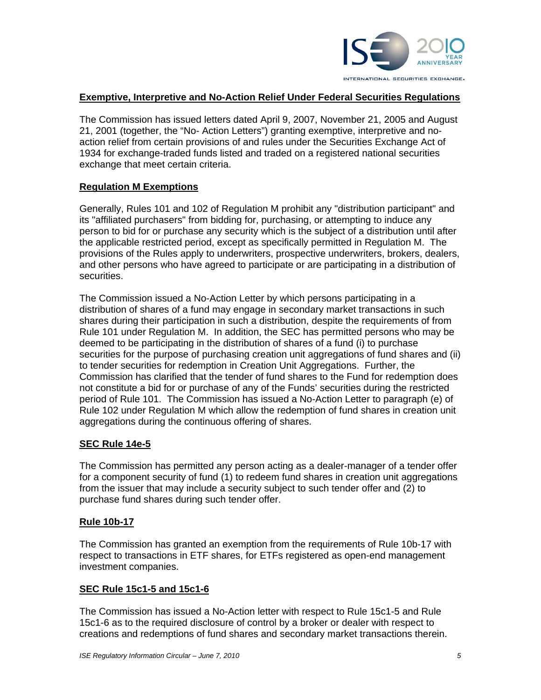

# **Exemptive, Interpretive and No-Action Relief Under Federal Securities Regulations**

The Commission has issued letters dated April 9, 2007, November 21, 2005 and August 21, 2001 (together, the "No- Action Letters") granting exemptive, interpretive and noaction relief from certain provisions of and rules under the Securities Exchange Act of 1934 for exchange-traded funds listed and traded on a registered national securities exchange that meet certain criteria.

## **Regulation M Exemptions**

Generally, Rules 101 and 102 of Regulation M prohibit any "distribution participant" and its "affiliated purchasers" from bidding for, purchasing, or attempting to induce any person to bid for or purchase any security which is the subject of a distribution until after the applicable restricted period, except as specifically permitted in Regulation M. The provisions of the Rules apply to underwriters, prospective underwriters, brokers, dealers, and other persons who have agreed to participate or are participating in a distribution of securities.

The Commission issued a No-Action Letter by which persons participating in a distribution of shares of a fund may engage in secondary market transactions in such shares during their participation in such a distribution, despite the requirements of from Rule 101 under Regulation M. In addition, the SEC has permitted persons who may be deemed to be participating in the distribution of shares of a fund (i) to purchase securities for the purpose of purchasing creation unit aggregations of fund shares and (ii) to tender securities for redemption in Creation Unit Aggregations. Further, the Commission has clarified that the tender of fund shares to the Fund for redemption does not constitute a bid for or purchase of any of the Funds' securities during the restricted period of Rule 101. The Commission has issued a No-Action Letter to paragraph (e) of Rule 102 under Regulation M which allow the redemption of fund shares in creation unit aggregations during the continuous offering of shares.

### **SEC Rule 14e-5**

The Commission has permitted any person acting as a dealer-manager of a tender offer for a component security of fund (1) to redeem fund shares in creation unit aggregations from the issuer that may include a security subject to such tender offer and (2) to purchase fund shares during such tender offer.

### **Rule 10b-17**

The Commission has granted an exemption from the requirements of Rule 10b-17 with respect to transactions in ETF shares, for ETFs registered as open-end management investment companies.

### **SEC Rule 15c1-5 and 15c1-6**

The Commission has issued a No-Action letter with respect to Rule 15c1-5 and Rule 15c1-6 as to the required disclosure of control by a broker or dealer with respect to creations and redemptions of fund shares and secondary market transactions therein.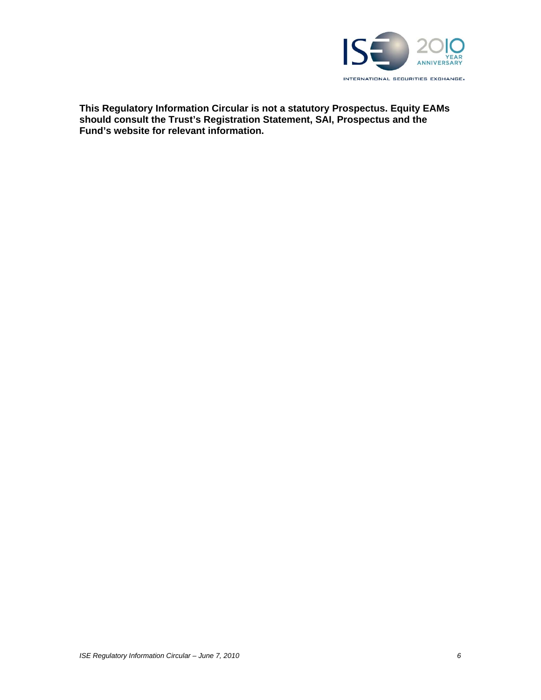

**This Regulatory Information Circular is not a statutory Prospectus. Equity EAMs should consult the Trust's Registration Statement, SAI, Prospectus and the Fund's website for relevant information.**